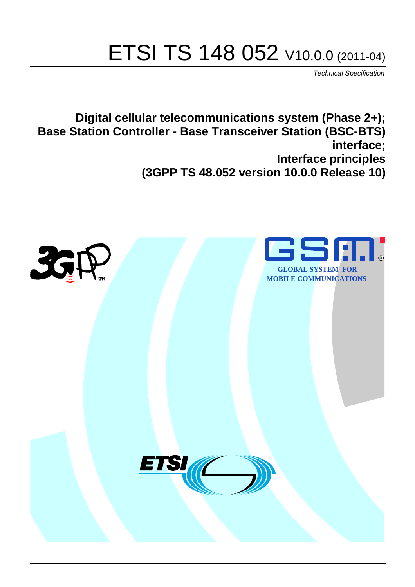# ETSI TS 148 052 V10.0.0 (2011-04)

*Technical Specification*

**Digital cellular telecommunications system (Phase 2+); Base Station Controller - Base Transceiver Station (BSC-BTS) interface; Interface principles (3GPP TS 48.052 version 10.0.0 Release 10)**

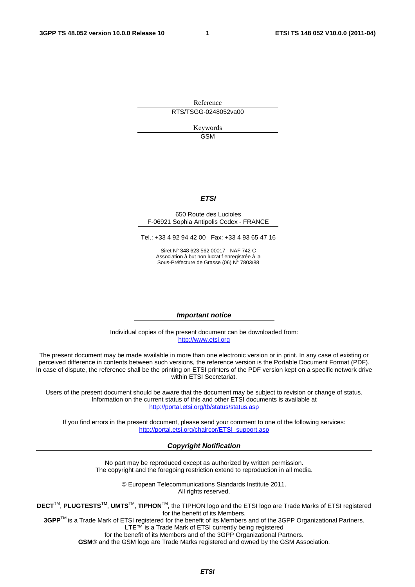Reference RTS/TSGG-0248052va00

> Keywords GSM

#### *ETSI*

#### 650 Route des Lucioles F-06921 Sophia Antipolis Cedex - FRANCE

Tel.: +33 4 92 94 42 00 Fax: +33 4 93 65 47 16

Siret N° 348 623 562 00017 - NAF 742 C Association à but non lucratif enregistrée à la Sous-Préfecture de Grasse (06) N° 7803/88

#### *Important notice*

Individual copies of the present document can be downloaded from: [http://www.etsi.org](http://www.etsi.org/)

The present document may be made available in more than one electronic version or in print. In any case of existing or perceived difference in contents between such versions, the reference version is the Portable Document Format (PDF). In case of dispute, the reference shall be the printing on ETSI printers of the PDF version kept on a specific network drive within ETSI Secretariat.

Users of the present document should be aware that the document may be subject to revision or change of status. Information on the current status of this and other ETSI documents is available at <http://portal.etsi.org/tb/status/status.asp>

If you find errors in the present document, please send your comment to one of the following services: [http://portal.etsi.org/chaircor/ETSI\\_support.asp](http://portal.etsi.org/chaircor/ETSI_support.asp)

#### *Copyright Notification*

No part may be reproduced except as authorized by written permission. The copyright and the foregoing restriction extend to reproduction in all media.

> © European Telecommunications Standards Institute 2011. All rights reserved.

**DECT**TM, **PLUGTESTS**TM, **UMTS**TM, **TIPHON**TM, the TIPHON logo and the ETSI logo are Trade Marks of ETSI registered for the benefit of its Members.

**3GPP**TM is a Trade Mark of ETSI registered for the benefit of its Members and of the 3GPP Organizational Partners. **LTE**™ is a Trade Mark of ETSI currently being registered

for the benefit of its Members and of the 3GPP Organizational Partners.

**GSM**® and the GSM logo are Trade Marks registered and owned by the GSM Association.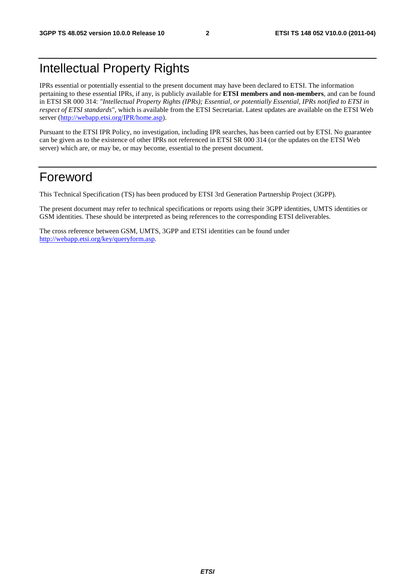# Intellectual Property Rights

IPRs essential or potentially essential to the present document may have been declared to ETSI. The information pertaining to these essential IPRs, if any, is publicly available for **ETSI members and non-members**, and can be found in ETSI SR 000 314: *"Intellectual Property Rights (IPRs); Essential, or potentially Essential, IPRs notified to ETSI in respect of ETSI standards"*, which is available from the ETSI Secretariat. Latest updates are available on the ETSI Web server ([http://webapp.etsi.org/IPR/home.asp\)](http://webapp.etsi.org/IPR/home.asp).

Pursuant to the ETSI IPR Policy, no investigation, including IPR searches, has been carried out by ETSI. No guarantee can be given as to the existence of other IPRs not referenced in ETSI SR 000 314 (or the updates on the ETSI Web server) which are, or may be, or may become, essential to the present document.

# Foreword

This Technical Specification (TS) has been produced by ETSI 3rd Generation Partnership Project (3GPP).

The present document may refer to technical specifications or reports using their 3GPP identities, UMTS identities or GSM identities. These should be interpreted as being references to the corresponding ETSI deliverables.

The cross reference between GSM, UMTS, 3GPP and ETSI identities can be found under [http://webapp.etsi.org/key/queryform.asp.](http://webapp.etsi.org/key/queryform.asp)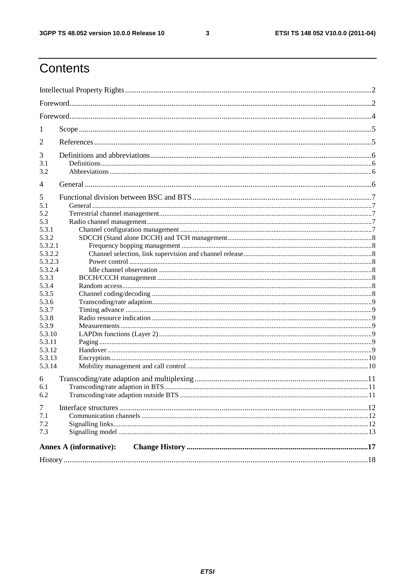$\mathbf{3}$ 

# Contents

| 1<br>2<br>3<br>3.1<br>3.2<br>4<br>5<br>5.1<br>5.2<br>5.3<br>5.3.1<br>5.3.2<br>5.3.2.1<br>5.3.2.2<br>5.3.2.3<br>5.3.2.4<br>5.3.3<br>5.3.4<br>5.3.5<br>5.3.6<br>5.3.7<br>5.3.8<br>5.3.9<br>5.3.10<br>5.3.11<br>5.3.12<br>5.3.13<br>5.3.14<br>6<br>6.1<br>6.2<br>7<br>7.1<br>7.2<br>7.3<br><b>Annex A (informative):</b> |  |  |
|-----------------------------------------------------------------------------------------------------------------------------------------------------------------------------------------------------------------------------------------------------------------------------------------------------------------------|--|--|
|                                                                                                                                                                                                                                                                                                                       |  |  |
|                                                                                                                                                                                                                                                                                                                       |  |  |
|                                                                                                                                                                                                                                                                                                                       |  |  |
|                                                                                                                                                                                                                                                                                                                       |  |  |
|                                                                                                                                                                                                                                                                                                                       |  |  |
|                                                                                                                                                                                                                                                                                                                       |  |  |
|                                                                                                                                                                                                                                                                                                                       |  |  |
|                                                                                                                                                                                                                                                                                                                       |  |  |
|                                                                                                                                                                                                                                                                                                                       |  |  |
|                                                                                                                                                                                                                                                                                                                       |  |  |
|                                                                                                                                                                                                                                                                                                                       |  |  |
|                                                                                                                                                                                                                                                                                                                       |  |  |
|                                                                                                                                                                                                                                                                                                                       |  |  |
|                                                                                                                                                                                                                                                                                                                       |  |  |
|                                                                                                                                                                                                                                                                                                                       |  |  |
|                                                                                                                                                                                                                                                                                                                       |  |  |
|                                                                                                                                                                                                                                                                                                                       |  |  |
|                                                                                                                                                                                                                                                                                                                       |  |  |
|                                                                                                                                                                                                                                                                                                                       |  |  |
|                                                                                                                                                                                                                                                                                                                       |  |  |
|                                                                                                                                                                                                                                                                                                                       |  |  |
|                                                                                                                                                                                                                                                                                                                       |  |  |
|                                                                                                                                                                                                                                                                                                                       |  |  |
|                                                                                                                                                                                                                                                                                                                       |  |  |
|                                                                                                                                                                                                                                                                                                                       |  |  |
|                                                                                                                                                                                                                                                                                                                       |  |  |
|                                                                                                                                                                                                                                                                                                                       |  |  |
|                                                                                                                                                                                                                                                                                                                       |  |  |
|                                                                                                                                                                                                                                                                                                                       |  |  |
|                                                                                                                                                                                                                                                                                                                       |  |  |
|                                                                                                                                                                                                                                                                                                                       |  |  |
|                                                                                                                                                                                                                                                                                                                       |  |  |
|                                                                                                                                                                                                                                                                                                                       |  |  |
|                                                                                                                                                                                                                                                                                                                       |  |  |
|                                                                                                                                                                                                                                                                                                                       |  |  |
|                                                                                                                                                                                                                                                                                                                       |  |  |
|                                                                                                                                                                                                                                                                                                                       |  |  |
|                                                                                                                                                                                                                                                                                                                       |  |  |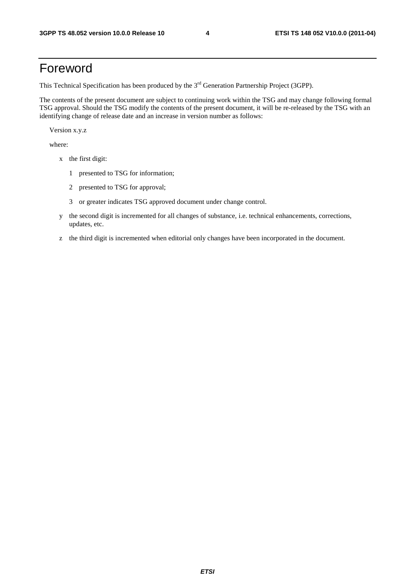# Foreword

This Technical Specification has been produced by the 3<sup>rd</sup> Generation Partnership Project (3GPP).

The contents of the present document are subject to continuing work within the TSG and may change following formal TSG approval. Should the TSG modify the contents of the present document, it will be re-released by the TSG with an identifying change of release date and an increase in version number as follows:

Version x.y.z

where:

- x the first digit:
	- 1 presented to TSG for information;
	- 2 presented to TSG for approval;
	- 3 or greater indicates TSG approved document under change control.
- y the second digit is incremented for all changes of substance, i.e. technical enhancements, corrections, updates, etc.
- z the third digit is incremented when editorial only changes have been incorporated in the document.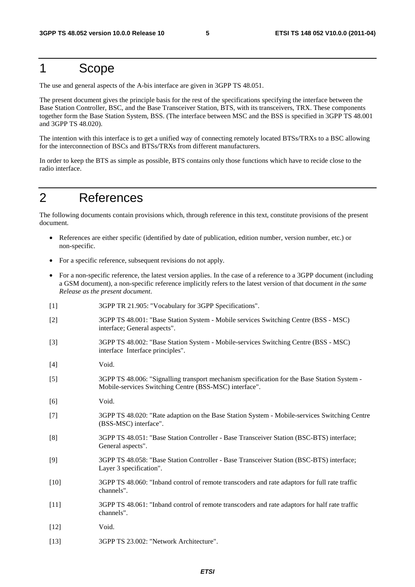# 1 Scope

The use and general aspects of the A-bis interface are given in 3GPP TS 48.051.

The present document gives the principle basis for the rest of the specifications specifying the interface between the Base Station Controller, BSC, and the Base Transceiver Station, BTS, with its transceivers, TRX. These components together form the Base Station System, BSS. (The interface between MSC and the BSS is specified in 3GPP TS 48.001 and 3GPP TS 48.020).

The intention with this interface is to get a unified way of connecting remotely located BTSs/TRXs to a BSC allowing for the interconnection of BSCs and BTSs/TRXs from different manufacturers.

In order to keep the BTS as simple as possible, BTS contains only those functions which have to recide close to the radio interface.

# 2 References

The following documents contain provisions which, through reference in this text, constitute provisions of the present document.

- References are either specific (identified by date of publication, edition number, version number, etc.) or non-specific.
- For a specific reference, subsequent revisions do not apply.
- For a non-specific reference, the latest version applies. In the case of a reference to a 3GPP document (including a GSM document), a non-specific reference implicitly refers to the latest version of that document *in the same Release as the present document*.
- [1] 3GPP TR 21.905: "Vocabulary for 3GPP Specifications".
- [2] 3GPP TS 48.001: "Base Station System Mobile services Switching Centre (BSS MSC) interface; General aspects".
- [3] 3GPP TS 48.002: "Base Station System Mobile-services Switching Centre (BSS MSC) interface Interface principles".
- [4] Void.
- [5] 3GPP TS 48.006: "Signalling transport mechanism specification for the Base Station System Mobile-services Switching Centre (BSS-MSC) interface".
- [6] Void.
- [7] 3GPP TS 48.020: "Rate adaption on the Base Station System Mobile-services Switching Centre (BSS-MSC) interface".
- [8] 3GPP TS 48.051: "Base Station Controller Base Transceiver Station (BSC-BTS) interface; General aspects".
- [9] 3GPP TS 48.058: "Base Station Controller Base Transceiver Station (BSC-BTS) interface; Layer 3 specification".
- [10] 3GPP TS 48.060: "Inband control of remote transcoders and rate adaptors for full rate traffic channels".
- [11] 3GPP TS 48.061: "Inband control of remote transcoders and rate adaptors for half rate traffic channels".
- [12] **Void.**
- [13] 3GPP TS 23.002: "Network Architecture".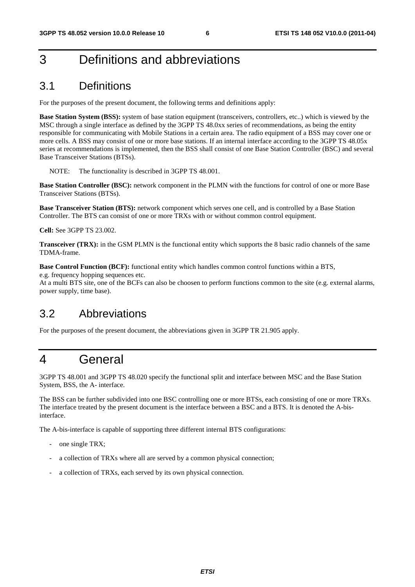# 3 Definitions and abbreviations

# 3.1 Definitions

For the purposes of the present document, the following terms and definitions apply:

**Base Station System (BSS):** system of base station equipment (transceivers, controllers, etc..) which is viewed by the MSC through a single interface as defined by the 3GPP TS 48.0xx series of recommendations, as being the entity responsible for communicating with Mobile Stations in a certain area. The radio equipment of a BSS may cover one or more cells. A BSS may consist of one or more base stations. If an internal interface according to the 3GPP TS 48.05x series at recommendations is implemented, then the BSS shall consist of one Base Station Controller (BSC) and several Base Transceiver Stations (BTSs).

NOTE: The functionality is described in 3GPP TS 48.001.

**Base Station Controller (BSC):** network component in the PLMN with the functions for control of one or more Base Transceiver Stations (BTSs).

**Base Transceiver Station (BTS):** network component which serves one cell, and is controlled by a Base Station Controller. The BTS can consist of one or more TRXs with or without common control equipment.

**Cell:** See 3GPP TS 23.002.

**Transceiver (TRX):** in the GSM PLMN is the functional entity which supports the 8 basic radio channels of the same TDMA-frame.

**Base Control Function (BCF):** functional entity which handles common control functions within a BTS,

e.g. frequency hopping sequences etc.

At a multi BTS site, one of the BCFs can also be choosen to perform functions common to the site (e.g. external alarms, power supply, time base).

# 3.2 Abbreviations

For the purposes of the present document, the abbreviations given in 3GPP TR 21.905 apply.

# 4 General

3GPP TS 48.001 and 3GPP TS 48.020 specify the functional split and interface between MSC and the Base Station System, BSS, the A- interface.

The BSS can be further subdivided into one BSC controlling one or more BTSs, each consisting of one or more TRXs. The interface treated by the present document is the interface between a BSC and a BTS. It is denoted the A-bisinterface.

The A-bis-interface is capable of supporting three different internal BTS configurations:

- one single TRX;
- a collection of TRXs where all are served by a common physical connection;
- a collection of TRXs, each served by its own physical connection.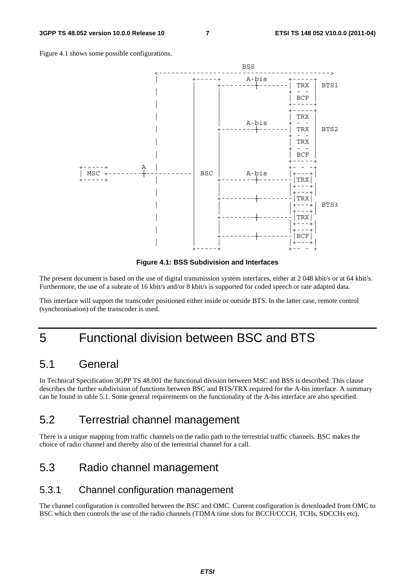



**Figure 4.1: BSS Subdivision and Interfaces** 

The present document is based on the use of digital transmission system interfaces, either at 2 048 kbit/s or at 64 kbit/s. Furthermore, the use of a subrate of 16 kbit/s and/or 8 kbit/s is supported for coded speech or rate adapted data.

This interface will support the transcoder positioned either inside or outside BTS. In the latter case, remote control (synchronisation) of the transcoder is used.

# 5 Functional division between BSC and BTS

### 5.1 General

In Technical Specification 3GPP TS 48.001 the functional division between MSC and BSS is described. This clause describes the further subdivision of functions between BSC and BTS/TRX required for the A-bis interface. A summary can be found in table 5.1. Some general requirements on the functionality of the A-bis interface are also specified.

# 5.2 Terrestrial channel management

There is a unique mapping from traffic channels on the radio path to the terrestrial traffic channels. BSC makes the choice of radio channel and thereby also of the terrestrial channel for a call.

# 5.3 Radio channel management

#### 5.3.1 Channel configuration management

The channel configuration is controlled between the BSC and OMC. Current configuration is downloaded from OMC to BSC which then controls the use of the radio channels (TDMA time slots for BCCH/CCCH, TCHs, SDCCHs etc).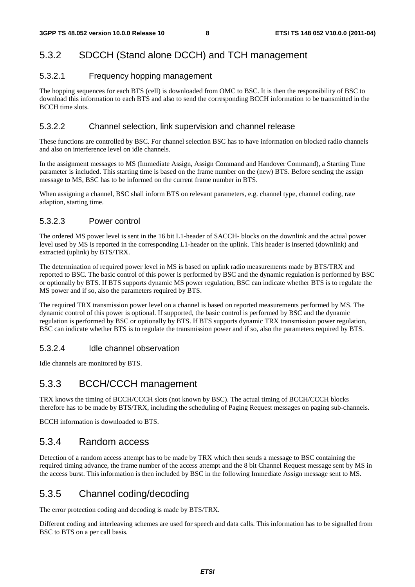### 5.3.2 SDCCH (Stand alone DCCH) and TCH management

#### 5.3.2.1 Frequency hopping management

The hopping sequences for each BTS (cell) is downloaded from OMC to BSC. It is then the responsibility of BSC to download this information to each BTS and also to send the corresponding BCCH information to be transmitted in the BCCH time slots.

#### 5.3.2.2 Channel selection, link supervision and channel release

These functions are controlled by BSC. For channel selection BSC has to have information on blocked radio channels and also on interference level on idle channels.

In the assignment messages to MS (Immediate Assign, Assign Command and Handover Command), a Starting Time parameter is included. This starting time is based on the frame number on the (new) BTS. Before sending the assign message to MS, BSC has to be informed on the current frame number in BTS.

When assigning a channel, BSC shall inform BTS on relevant parameters, e.g. channel type, channel coding, rate adaption, starting time.

#### 5.3.2.3 Power control

The ordered MS power level is sent in the 16 bit L1-header of SACCH- blocks on the downlink and the actual power level used by MS is reported in the corresponding L1-header on the uplink. This header is inserted (downlink) and extracted (uplink) by BTS/TRX.

The determination of required power level in MS is based on uplink radio measurements made by BTS/TRX and reported to BSC. The basic control of this power is performed by BSC and the dynamic regulation is performed by BSC or optionally by BTS. If BTS supports dynamic MS power regulation, BSC can indicate whether BTS is to regulate the MS power and if so, also the parameters required by BTS.

The required TRX transmission power level on a channel is based on reported measurements performed by MS. The dynamic control of this power is optional. If supported, the basic control is performed by BSC and the dynamic regulation is performed by BSC or optionally by BTS. If BTS supports dynamic TRX transmission power regulation, BSC can indicate whether BTS is to regulate the transmission power and if so, also the parameters required by BTS.

#### 5.3.2.4 Idle channel observation

Idle channels are monitored by BTS.

#### 5.3.3 BCCH/CCCH management

TRX knows the timing of BCCH/CCCH slots (not known by BSC). The actual timing of BCCH/CCCH blocks therefore has to be made by BTS/TRX, including the scheduling of Paging Request messages on paging sub-channels.

BCCH information is downloaded to BTS.

#### 5.3.4 Random access

Detection of a random access attempt has to be made by TRX which then sends a message to BSC containing the required timing advance, the frame number of the access attempt and the 8 bit Channel Request message sent by MS in the access burst. This information is then included by BSC in the following Immediate Assign message sent to MS.

### 5.3.5 Channel coding/decoding

The error protection coding and decoding is made by BTS/TRX.

Different coding and interleaving schemes are used for speech and data calls. This information has to be signalled from BSC to BTS on a per call basis.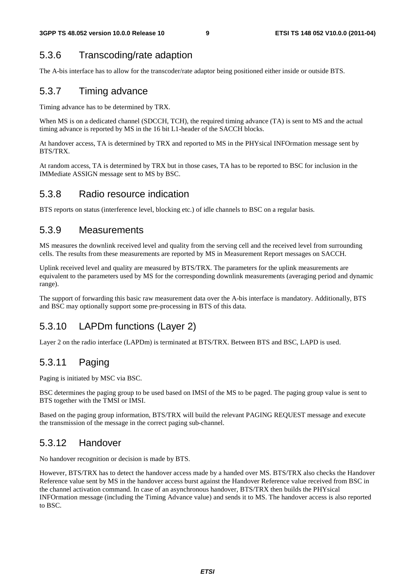# 5.3.6 Transcoding/rate adaption

The A-bis interface has to allow for the transcoder/rate adaptor being positioned either inside or outside BTS.

### 5.3.7 Timing advance

Timing advance has to be determined by TRX.

When MS is on a dedicated channel (SDCCH, TCH), the required timing advance (TA) is sent to MS and the actual timing advance is reported by MS in the 16 bit L1-header of the SACCH blocks.

At handover access, TA is determined by TRX and reported to MS in the PHYsical INFOrmation message sent by BTS/TRX.

At random access, TA is determined by TRX but in those cases, TA has to be reported to BSC for inclusion in the IMMediate ASSIGN message sent to MS by BSC.

#### 5.3.8 Radio resource indication

BTS reports on status (interference level, blocking etc.) of idle channels to BSC on a regular basis.

#### 5.3.9 Measurements

MS measures the downlink received level and quality from the serving cell and the received level from surrounding cells. The results from these measurements are reported by MS in Measurement Report messages on SACCH.

Uplink received level and quality are measured by BTS/TRX. The parameters for the uplink measurements are equivalent to the parameters used by MS for the corresponding downlink measurements (averaging period and dynamic range).

The support of forwarding this basic raw measurement data over the A-bis interface is mandatory. Additionally, BTS and BSC may optionally support some pre-processing in BTS of this data.

# 5.3.10 LAPDm functions (Layer 2)

Layer 2 on the radio interface (LAPDm) is terminated at BTS/TRX. Between BTS and BSC, LAPD is used.

# 5.3.11 Paging

Paging is initiated by MSC via BSC.

BSC determines the paging group to be used based on IMSI of the MS to be paged. The paging group value is sent to BTS together with the TMSI or IMSI.

Based on the paging group information, BTS/TRX will build the relevant PAGING REQUEST message and execute the transmission of the message in the correct paging sub-channel.

### 5.3.12 Handover

No handover recognition or decision is made by BTS.

However, BTS/TRX has to detect the handover access made by a handed over MS. BTS/TRX also checks the Handover Reference value sent by MS in the handover access burst against the Handover Reference value received from BSC in the channel activation command. In case of an asynchronous handover, BTS/TRX then builds the PHYsical INFOrmation message (including the Timing Advance value) and sends it to MS. The handover access is also reported to BSC.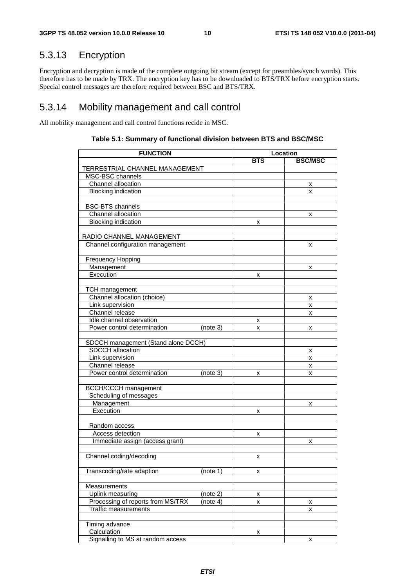# 5.3.13 Encryption

Encryption and decryption is made of the complete outgoing bit stream (except for preambles/synch words). This therefore has to be made by TRX. The encryption key has to be downloaded to BTS/TRX before encryption starts. Special control messages are therefore required between BSC and BTS/TRX.

### 5.3.14 Mobility management and call control

All mobility management and call control functions recide in MSC.

| <b>FUNCTION</b>                                         | Location   |                |   |
|---------------------------------------------------------|------------|----------------|---|
|                                                         | <b>BTS</b> | <b>BSC/MSC</b> |   |
| TERRESTRIAL CHANNEL MANAGEMENT                          |            |                |   |
| MSC-BSC channels                                        |            |                |   |
| Channel allocation                                      |            |                | х |
| <b>Blocking indication</b>                              |            |                | x |
|                                                         |            |                |   |
| <b>BSC-BTS</b> channels                                 |            |                |   |
| Channel allocation                                      |            |                | х |
| <b>Blocking indication</b>                              |            | x              |   |
|                                                         |            |                |   |
| RADIO CHANNEL MANAGEMENT                                |            |                |   |
| Channel configuration management                        |            |                | x |
|                                                         |            |                |   |
| <b>Frequency Hopping</b>                                |            |                |   |
| Management                                              |            |                | x |
| Execution                                               |            | x              |   |
|                                                         |            |                |   |
| <b>TCH</b> management                                   |            |                |   |
| Channel allocation (choice)                             |            |                |   |
| Link supervision                                        |            |                | х |
| Channel release                                         |            |                | x |
| Idle channel observation                                |            |                | x |
| Power control determination                             |            | х              |   |
|                                                         | (note 3)   | x              | x |
|                                                         |            |                |   |
| SDCCH management (Stand alone DCCH)<br>SDCCH allocation |            |                |   |
| Link supervision                                        |            |                | х |
| Channel release                                         |            |                | x |
| Power control determination                             |            |                | x |
|                                                         | (note 3)   | x              | x |
|                                                         |            |                |   |
| <b>BCCH/CCCH</b> management<br>Scheduling of messages   |            |                |   |
|                                                         |            |                |   |
| Management<br>Execution                                 |            |                | x |
|                                                         |            | х              |   |
|                                                         |            |                |   |
| Random access                                           |            |                |   |
| Access detection                                        |            | x              |   |
| Immediate assign (access grant)                         |            |                | x |
|                                                         |            |                |   |
| Channel coding/decoding                                 |            | X              |   |
|                                                         |            |                |   |
| Transcoding/rate adaption                               | (note 1)   | x              |   |
|                                                         |            |                |   |
| Measurements                                            |            |                |   |
| Uplink measuring                                        | (note 2)   | x              |   |
| Processing of reports from MS/TRX                       | (note 4)   | x              | x |
| <b>Traffic measurements</b>                             |            |                | x |
|                                                         |            |                |   |
| Timing advance                                          |            |                |   |
| Calculation                                             |            | x              |   |
| Signalling to MS at random access                       |            |                | x |

#### **Table 5.1: Summary of functional division between BTS and BSC/MSC**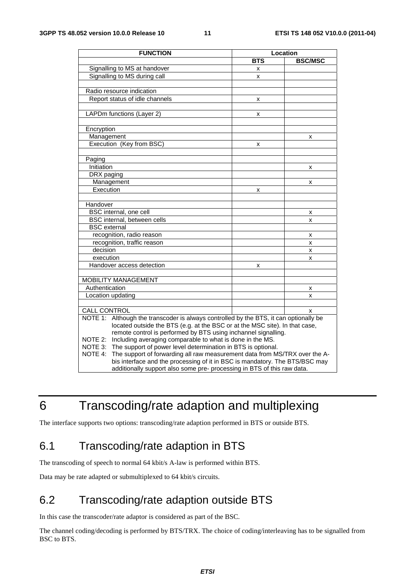| <b>FUNCTION</b>                                                                          | Location   |                |  |
|------------------------------------------------------------------------------------------|------------|----------------|--|
|                                                                                          | <b>BTS</b> | <b>BSC/MSC</b> |  |
| Signalling to MS at handover                                                             | x          |                |  |
| Signalling to MS during call                                                             | x          |                |  |
|                                                                                          |            |                |  |
| Radio resource indication                                                                |            |                |  |
| Report status of idle channels                                                           | x          |                |  |
|                                                                                          |            |                |  |
| LAPDm functions (Layer 2)                                                                | x          |                |  |
|                                                                                          |            |                |  |
| Encryption                                                                               |            |                |  |
| Management                                                                               |            | x              |  |
| Execution (Key from BSC)                                                                 | X          |                |  |
|                                                                                          |            |                |  |
| Paging                                                                                   |            |                |  |
| Initiation                                                                               |            | x              |  |
| DRX paging                                                                               |            |                |  |
| Management                                                                               |            | x              |  |
| Execution                                                                                | x          |                |  |
|                                                                                          |            |                |  |
| Handover                                                                                 |            |                |  |
| BSC internal, one cell                                                                   |            | x              |  |
| BSC internal, between cells                                                              |            | x              |  |
| <b>BSC</b> external                                                                      |            |                |  |
| recognition, radio reason                                                                |            | x              |  |
| recognition, traffic reason                                                              |            | x              |  |
| decision                                                                                 |            | x              |  |
| execution                                                                                |            | x              |  |
| Handover access detection                                                                | x          |                |  |
|                                                                                          |            |                |  |
| <b>MOBILITY MANAGEMENT</b>                                                               |            |                |  |
| Authentication                                                                           |            | x              |  |
| Location updating                                                                        |            | x              |  |
|                                                                                          |            |                |  |
| CALL CONTROL                                                                             |            | x              |  |
| NOTE 1:<br>Although the transcoder is always controlled by the BTS, it can optionally be |            |                |  |
| located outside the BTS (e.g. at the BSC or at the MSC site). In that case,              |            |                |  |
| remote control is performed by BTS using inchannel signalling.                           |            |                |  |
| Including averaging comparable to what is done in the MS.<br>NOTE 2:                     |            |                |  |
| NOTE 3: The support of power level determination in BTS is optional.                     |            |                |  |
| NOTE 4:<br>The support of forwarding all raw measurement data from MS/TRX over the A-    |            |                |  |
| bis interface and the processing of it in BSC is mandatory. The BTS/BSC may              |            |                |  |
| additionally support also some pre- processing in BTS of this raw data.                  |            |                |  |

# 6 Transcoding/rate adaption and multiplexing

The interface supports two options: transcoding/rate adaption performed in BTS or outside BTS.

# 6.1 Transcoding/rate adaption in BTS

The transcoding of speech to normal 64 kbit/s A-law is performed within BTS.

Data may be rate adapted or submultiplexed to 64 kbit/s circuits.

# 6.2 Transcoding/rate adaption outside BTS

In this case the transcoder/rate adaptor is considered as part of the BSC.

The channel coding/decoding is performed by BTS/TRX. The choice of coding/interleaving has to be signalled from BSC to BTS.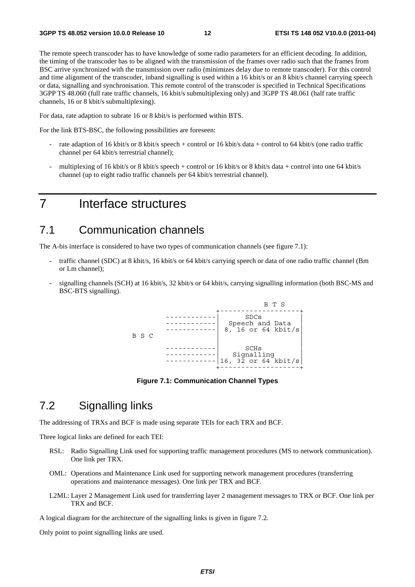The remote speech transcoder has to have knowledge of some radio parameters for an efficient decoding. In addition, the timing of the transcoder has to be aligned with the transmission of the frames over radio such that the frames from BSC arrive synchronized with the transmission over radio (minimizes delay due to remote transcoder). For this control and time alignment of the transcoder, inband signalling is used within a 16 kbit/s or an 8 kbit/s channel carrying speech or data, signalling and synchronisation. This remote control of the transcoder is specified in Technical Specifications 3GPP TS 48.060 (full rate traffic channels, 16 kbit/s submultiplexing only) and 3GPP TS 48.061 (half rate traffic channels, 16 or 8 kbit/s submultiplexing).

For data, rate adaption to subrate 16 or 8 kbit/s is performed within BTS.

For the link BTS-BSC, the following possibilities are foreseen:

- rate adaption of 16 kbit/s or 8 kbit/s speech + control or 16 kbit/s data + control to 64 kbit/s (one radio traffic channel per 64 kbit/s terrestrial channel);
- multiplexing of 16 kbit/s or 8 kbit/s speech + control or 16 kbit/s or 8 kbit/s data + control into one 64 kbit/s channel (up to eight radio traffic channels per 64 kbit/s terrestrial channel).

# 7 Interface structures

### 7.1 Communication channels

The A-bis interface is considered to have two types of communication channels (see figure 7.1):

- traffic channel (SDC) at 8 kbit/s, 16 kbit/s or 64 kbit/s carrying speech or data of one radio traffic channel (Bm or Lm channel);
- signalling channels (SCH) at 16 kbit/s, 32 kbit/s or 64 kbit/s, carrying signalling information (both BSC-MS and BSC-BTS signalling).



**Figure 7.1: Communication Channel Types** 

### 7.2 Signalling links

The addressing of TRXs and BCF is made using separate TEIs for each TRX and BCF.

Three logical links are defined for each TEI:

- RSL: Radio Signalling Link used for supporting traffic management procedures (MS to network communication). One link per TRX.
- OML: Operations and Maintenance Link used for supporting network management procedures (transferring operations and maintenance messages). One link per TRX and BCF.
- L2ML: Layer 2 Management Link used for transferring layer 2 management messages to TRX or BCF. One link per TRX and BCF.

A logical diagram for the architecture of the signalling links is given in figure 7.2.

Only point to point signalling links are used.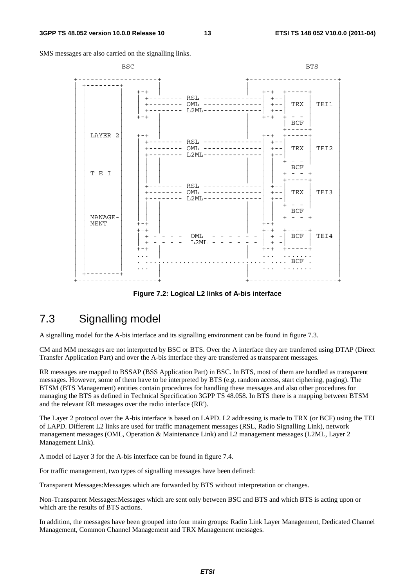SMS messages are also carried on the signalling links.

| <b>BSC</b>             |                                                                                                                        | <b>BTS</b>                                                                                               |
|------------------------|------------------------------------------------------------------------------------------------------------------------|----------------------------------------------------------------------------------------------------------|
|                        | $+ - +$<br>+-------- RSL -------<br>+-------- OML --------------  +-- <br>$L2ML------$<br>$+ - - - - - - - -$<br>$+-+$ | $+ - +$<br>$+ - -$<br>TRX<br>TEI1<br>-----  +--<br>$+ - +$<br>BCF                                        |
| LAYER 2                | $+-+$<br>$RSL$ ------<br>$OML$ --------------<br>$L2ML - -$                                                            | $+ - +$<br>$+--$<br>TRX<br>TEI2<br>$+ - -$<br>$+ - -$                                                    |
| T E I                  | RSL ------<br>$OML$ --------------<br>--------<br>$L2ML-----$                                                          | <b>BCF</b><br>$ -$<br>$+ - - - - \cdot$<br>$+ - -$<br>TRX  <br>TEI3<br>$+ - -$                           |
| MANAGE-<br><b>MENT</b> | $+-+$<br>$+-+$<br>OML<br>$\begin{array}{c} + \end{array}$<br>L2ML<br>- - - - - -<br>$+$<br>$+-+$                       | <b>BCF</b><br>$+ - - +$<br>$+-+$<br>$+ - +$<br>キーーーーーキ<br>BCF<br>TEI4<br>$+ -$<br>$\,$ + $\,$<br>$+ - +$ |
|                        |                                                                                                                        | $\ldots$ BCF                                                                                             |

**Figure 7.2: Logical L2 links of A-bis interface** 

# 7.3 Signalling model

A signalling model for the A-bis interface and its signalling environment can be found in figure 7.3.

CM and MM messages are not interpreted by BSC or BTS. Over the A interface they are tranferred using DTAP (Direct Transfer Application Part) and over the A-bis interface they are transferred as transparent messages.

RR messages are mapped to BSSAP (BSS Application Part) in BSC. In BTS, most of them are handled as transparent messages. However, some of them have to be interpreted by BTS (e.g. random access, start ciphering, paging). The BTSM (BTS Management) entities contain procedures for handling these messages and also other procedures for managing the BTS as defined in Technical Specification 3GPP TS 48.058. In BTS there is a mapping between BTSM and the relevant RR messages over the radio interface (RR').

The Layer 2 protocol over the A-bis interface is based on LAPD. L2 addressing is made to TRX (or BCF) using the TEI of LAPD. Different L2 links are used for traffic management messages (RSL, Radio Signalling Link), network management messages (OML, Operation & Maintenance Link) and L2 management messages (L2ML, Layer 2 Management Link).

A model of Layer 3 for the A-bis interface can be found in figure 7.4.

For traffic management, two types of signalling messages have been defined:

Transparent Messages:Messages which are forwarded by BTS without interpretation or changes.

Non-Transparent Messages:Messages which are sent only between BSC and BTS and which BTS is acting upon or which are the results of BTS actions.

In addition, the messages have been grouped into four main groups: Radio Link Layer Management, Dedicated Channel Management, Common Channel Management and TRX Management messages.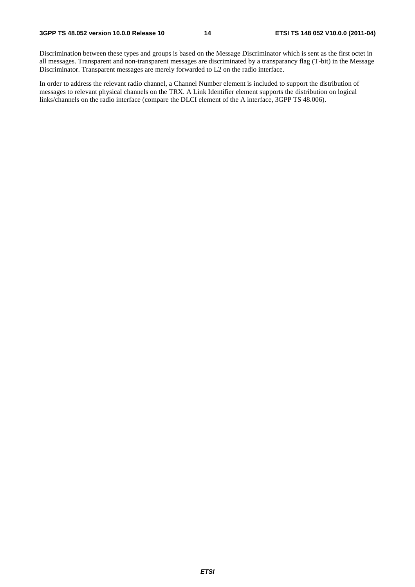Discrimination between these types and groups is based on the Message Discriminator which is sent as the first octet in all messages. Transparent and non-transparent messages are discriminated by a transparancy flag (T-bit) in the Message Discriminator. Transparent messages are merely forwarded to L2 on the radio interface.

In order to address the relevant radio channel, a Channel Number element is included to support the distribution of messages to relevant physical channels on the TRX. A Link Identifier element supports the distribution on logical links/channels on the radio interface (compare the DLCI element of the A interface, 3GPP TS 48.006).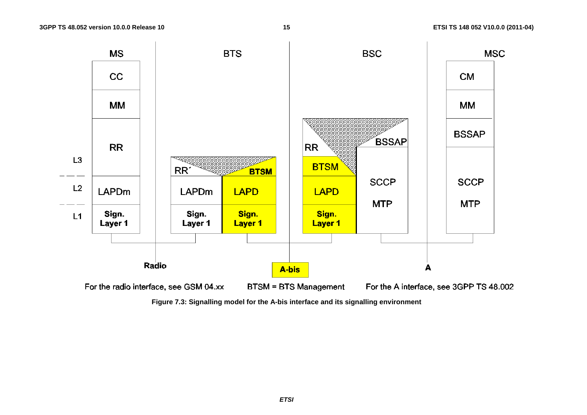

**Figure 7.3: Signalling model for the A-bis interface and its signalling environment**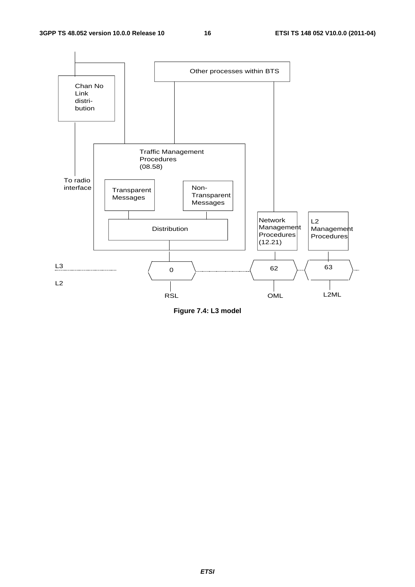

**Figure 7.4: L3 model**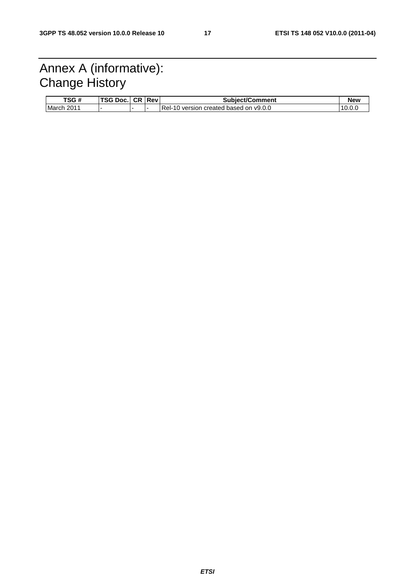# Annex A (informative): Change History

| TSG#       | <b>TSG Doc. CR Revi</b> |  | <b>Subiect/Comment</b>                  | New          |
|------------|-------------------------|--|-----------------------------------------|--------------|
| March 2011 |                         |  | IRel-10 version created based on y9.0.0 | $10.0\ldots$ |